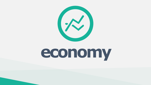



# economy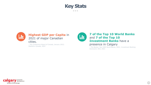



#### **Highest GDP per Capita in** 2021 of major Canadian cities.

- The Conference Board of Canada, January 2022; **Statistics Canada, 2022** 







### **7 of the Top 10 World Banks** and 7 of the Top 10 **Investment Banks** have a presence in Calgary

- The Banker Top 1000 World Banks, 2021; Investment Banking Scorecard, WSJ, 2021

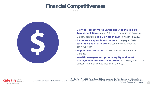- **7 of the Top 10 World Banks and 7 of the Top 10 Investment Banks** as of 2021 have an office in Calgary.
- Calgary ranked a **Top 20 fintech hub** to watch in 2020.
- **33 venture capital investments** in Calgary in 2020 **totaling \$353M, a 160%** increase in value over the previous year.
- **Highest concentration** of head offices per capita in Canada.
- **Wealth management, private equity and asset management services have thrived** in Calgary due to the concentration of private wealth in the city.







*The Banker, Top 1000 World Banks 2021; Investment Banking Scorecard, WSJ, April 2021; Global Fintech Index City Rankings 2020, Findexable; 2020 Year in Review: Canadian Venture Capital Market Overview, CVCA, March 2021 FP500 Database 2021 Edition* 

# **Financial Competitiveness**

. . .



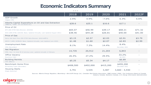

# **Economic Indicators Summary**

|                                                                                               | 2018      | 2019      | 2020      | 2021                       | <b>2022F</b> |
|-----------------------------------------------------------------------------------------------|-----------|-----------|-----------|----------------------------|--------------|
| <b>GDP Growth</b><br><b>Calgary CMA</b>                                                       | 2.5%      | 0.9%      | $-7.6%$   | 6.3%                       | 6.6%         |
| Alberta Capital Expenditure on Oil and Gas Extraction<br>(Billions; Table: 34-10-0035-01)     | \$28.6    | \$25.1    | \$16.6    | \$17.1                     |              |
| Price of Oil                                                                                  |           |           |           |                            |              |
| WTI (EIA STEO Data Browser; \$US/bbl)                                                         | \$65.07   | \$56.99   | \$39.17   | \$68.21                    | \$71.32      |
| WCS (AER ST98; \$US/bbl; Base; Updated Annually; Last Updated August 2021)                    | \$38.46   | \$44.28   | \$26.81   | \$40.00                    | \$41.00      |
| <b>Price of Gas</b>                                                                           |           |           |           |                            |              |
| Henry Hub Spot Price (EIA STEO Data Browser; \$US/mmBTU)                                      | \$3.15    | \$2.57    | \$2.03    | \$3.91                     | \$3.79       |
| AECO-C (AER; \$CDN/GJ; Base; Updated Annually; Last Updated June 2020)                        | \$1.48    | \$1.60    | \$2.07    | \$2.83                     | \$2.99       |
| <b>Unemployment Rate</b>                                                                      | 8.1%      | 7.3%      | 14.4%     | 8.4%                       | $\sim$       |
| CMA (December)                                                                                |           |           |           | December 2021              |              |
| <b>Net Migration</b><br>CMA; July 1 to June 30 of previous year; updated annually in February | 14,735    | 20,912    | 21,203    | 6,843                      |              |
| <b>Office Vacancy</b><br>Downtown (Q4)                                                        | 26.4%     | 27.2%     | 29.5%     | 33.2%<br>Q4 2021           |              |
| <b>Building Permits</b><br><b>CMA (Billions)</b>                                              | \$5.25    | \$5.34    | \$4.17    | \$6.89<br>YTD June 2021    |              |
| <b>Benchmark Home Price</b><br>All Housing Types (December)                                   | \$408,500 | \$402,000 | \$415,200 | \$455,200<br>December 2021 |              |
| <b>Housing Starts</b><br><b>Single-Detached</b>                                               | 3,791     | 3,535     | 3,487     | $3,660 - 4,930$            |              |

*Sources: Alberta Energy Regulator, Bloomberg + Birchcliff Energy Ltd., Canadian Real Estate Association, CBRE Limited, CMHC, The Conference Board of Canada, Industry Canada, Statistics Canada, U.S. Energy Information Administration*



#### $\bullet\bullet\bullet$

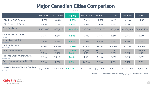

|                                                       | Vancouver          | Edmonton          | <b>Calgary</b> | Saskatoon      | Toronto            | Ottawa         | Montreal          | Canada          |
|-------------------------------------------------------|--------------------|-------------------|----------------|----------------|--------------------|----------------|-------------------|-----------------|
| 2020 Real GDP Growth                                  | $-4.0\%$           | $-6.6%$           | $-5.7%$        | $-3.4\%$       | $-4.7\%$           | $-4.2\%$       | $-4.5%$           | $-5.3%$         |
| 2021F Real GDP Growth                                 | 4.9%               | 6.4%              | 5.8%           | 4.9%           | 3.6%               | 3.5%           | $5.0\%$           | 6.2%            |
| <b>CMA Population</b><br><b>July 2020</b>             | 2,737,698          | 1,468,926         | 1,543,283      | 336,614        | 6,555,205          | 1,461,494      | 4,364,189         | 38,005,238      |
| <b>CMA Population Growth</b><br><b>July 2020</b>      | $1.1\%$            | 1.8%              | 1.9%           | 1.9%           | 1.4%               | 1.6%           | $0.7\%$           | 1.1%            |
| Unemployment Rate<br>November 2021                    | 7.6%               | 8.8%              | 9.8%           | 7.9%           | 9.8%               | 7.1%           | 7.5%              | 7.5%            |
| <b>Participation Rate</b><br>November 2021            | 69.1%              | 69.8%             | 70.3%          | 67.9%          | 66.4%              | 69.6%          | 67.7%             | 65.2%           |
| <b>Employment Growth</b><br>November 2021             | 102,100<br>$7.2\%$ | 69,200<br>$9.7\%$ | 11,200<br>1.4% | 10,500<br>6.3% | 181,200<br>$5.4\%$ | 28,000<br>3.9% | 71,800<br>$3.2\%$ | 778,600<br>4.2% |
| Full-Time Employment Growth<br>November 2021          | $7.7\%$            | 10.1%             | 1.4%           | 3.6%           | 5.4%               | 4.4%           | 3.5%              | 4.0%            |
| Part-Time Employment Growth<br>November 2021          | 5.3%               | $7.5\%$           | 1.7%           | 14.2%          | 5.5%               | 2.3%           | $3.1\%$           | $5.0\%$         |
| <b>Provincial Average Weekly Earnings</b><br>May 2021 | \$1,123.26         | \$1,228.43        | \$1,228.43     | \$1,102.34     | \$1,177.70         | \$1,177.70     | \$1,071.92        | \$1,134.18      |



#### $\bullet\bullet\bullet$



*Source: The Conference Board of Canada, Spring 2021; Statistics Canada*

# **Major Canadian Cities Comparison**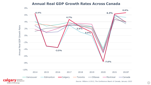

## **Annual Real GDP Growth Rates Across Canada**

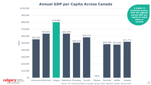



cal

## **Annual GDP per Capita Across Canada**

*Source: The Conference Board of Canada, January 2022, Statistics Canada, January 2022*

**A leader in economic power, with the highest annual GDP per capita of major cities in Canada**

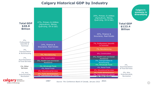28

1%, Arts, Entertainment, Recreation

**a W** economic development be part of the energy

0%, Arts, Entertainment, Recreation

 $2\%$ , Accommodation & Food Services

2%, Accommodation & Food Services

> 1%, Other Services

> > 3%, Public Administration

4%, Retail Trade 4%, Retail Trade 3%, Wholesale Trade

4%, Educational Services 2008 and 2008 to 2008 4%, Educational Services

2%, Public Administration<br>1%, Information & Cultural 3%, Information & Cultural 3%, Information & Cultural 4%, Information & Cultural

4%, Wholesale Trade

3%, Transportation & Warehousing

> 5%, Health Care and Social Assistance

5%, Transportation & **Warehousing** 6%, Health Care and Social Assistance 5%, Construction

6%, Construction

#### 5%, Manufacturing

7%, Manufacturing

7%, Professional, Scientific

& Technical 14%, Finance & Insurance, Real Estate

20%, Finance & Insurance, Real Estate

47%, Primary & Utilities (Agriculture, Mining, Quarrying, Oil & Gas)

 $4\%$ , Professional, Scientific & **Technical** 

29%, Primary & Utilities (Agriculture, Mining, Quarrying, Oil & Gas)

## **Calgary Historical GDP by Industry**

1987 2021 *Source: The Conference Board of Canada, January 2022*

#### **Total GDP \$48.8 Billion**

**Total GDP** 

**\$123.4**

**Billion**

**Calgary's economy is diversifying**

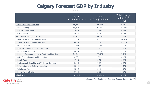

# **Calgary Forecast GDP by Industry**

|                                                 | 2022<br>$(2012 \,$ \$ Millions) | 2025<br>$(2012 \ $$ Millions)                        | Total change<br>2022-2025<br>$\left(\frac{0}{0}\right)$ |
|-------------------------------------------------|---------------------------------|------------------------------------------------------|---------------------------------------------------------|
| Goods-Producing Industries                      | 55,687                          | 61,426                                               | 9.3%                                                    |
| Manufacturing                                   | 39,604                          | 44,410                                               | 10.8%                                                   |
| <b>Primary and Utilities</b>                    | 7,466                           | 7,969                                                | 6.3%                                                    |
| Construction                                    | 8,618                           | 9,047                                                | $4.7\%$                                                 |
| Services-Producing Industries                   | 75,942                          | 81,774                                               | $7.1\%$                                                 |
| <b>Health Care and Social Assistance</b>        | 7,329                           | 8,315                                                | 11.9%                                                   |
| Transportation and Warehousing                  | 6,878                           | 7,647                                                | $10.1\%$                                                |
| <b>Other Services</b>                           | 2,344                           | 2,588                                                | 9.5%                                                    |
| <b>Accommodation and Food Services</b>          | 2,750                           | 2,979                                                | 7.7%                                                    |
| <b>Educational Services</b>                     | 4,693                           | 5,078                                                | 7.6%                                                    |
| Finance, Insurance and Real Estate and Leasing  | 24,741                          | 26,657                                               | $7.2\%$                                                 |
| Arts, Entertainment and Recreation              | 877                             | 934                                                  | $6.1\%$                                                 |
| <b>Retail Trade</b>                             | 4,746                           | 5,026                                                | 5.6%                                                    |
| Professional, Scientific and Technical Services | 8,685                           | 9,171                                                | 5.3%                                                    |
| Information and Cultural industries             | 3,884                           | 4,070                                                | 4.6%                                                    |
| <b>Wholesale Trade</b>                          | 5,230                           | 5,474                                                | $4.5\%$                                                 |
| <b>Public Administration</b>                    | 3,785                           | 3,835                                                | 1.3%                                                    |
| <b>All Industries</b>                           | 131,629                         | 143,200                                              | $8.1\%$                                                 |
| <b>MAN</b> economic                             |                                 | Source: The Conference Board of Canada, January 2022 |                                                         |

**Calgary** economic<br>be part of the energy

 $\bullet\bullet\bullet$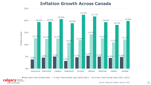



be part of the energy



## **Inflation Growth Across Canada**

*Source: Statistics Canada, January 2022*